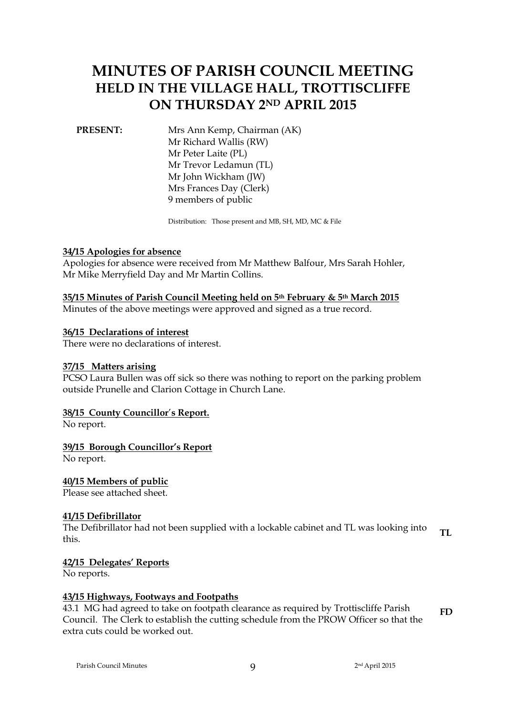# **MINUTES OF PARISH COUNCIL MEETING HELD IN THE VILLAGE HALL, TROTTISCLIFFE ON THURSDAY 2ND APRIL 2015**

**PRESENT:** Mrs Ann Kemp, Chairman (AK) Mr Richard Wallis (RW) Mr Peter Laite (PL) Mr Trevor Ledamun (TL) Mr John Wickham (JW) Mrs Frances Day (Clerk) 9 members of public

Distribution: Those present and MB, SH, MD, MC & File

# **34/15 Apologies for absence**

Apologies for absence were received from Mr Matthew Balfour, Mrs Sarah Hohler, Mr Mike Merryfield Day and Mr Martin Collins.

### **35/15 Minutes of Parish Council Meeting held on 5th February & 5th March 2015**

Minutes of the above meetings were approved and signed as a true record.

### **36/15 Declarations of interest**

There were no declarations of interest.

# **37/15 Matters arising**

PCSO Laura Bullen was off sick so there was nothing to report on the parking problem outside Prunelle and Clarion Cottage in Church Lane.

# **38/15 County Councillor**'**s Report.**

No report.

# **39/15 Borough Councillor's Report**

No report.

# **40/15 Members of public**

Please see attached sheet.

#### **41/15 Defibrillator**

The Defibrillator had not been supplied with a lockable cabinet and TL was looking into this. **TL**

#### **42/15 Delegates' Reports**

No reports.

#### **43/15 Highways, Footways and Footpaths**

43.1 MG had agreed to take on footpath clearance as required by Trottiscliffe Parish Council. The Clerk to establish the cutting schedule from the PROW Officer so that the extra cuts could be worked out. **FD**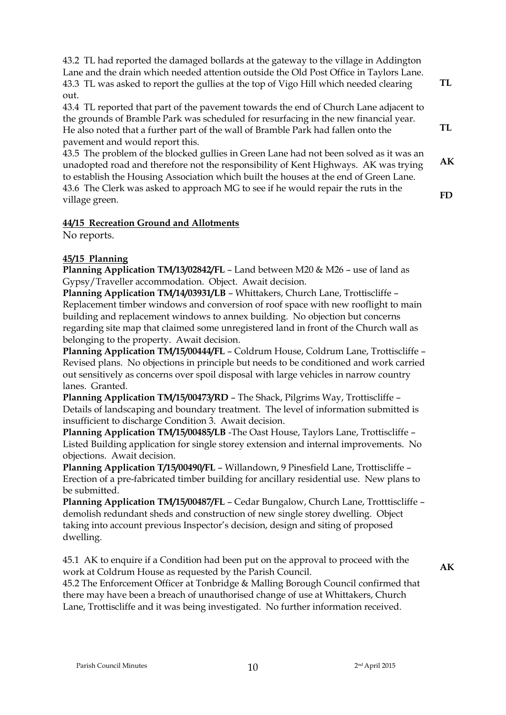43.2 TL had reported the damaged bollards at the gateway to the village in Addington Lane and the drain which needed attention outside the Old Post Office in Taylors Lane. 43.3 TL was asked to report the gullies at the top of Vigo Hill which needed clearing out.

43.4 TL reported that part of the pavement towards the end of Church Lane adjacent to the grounds of Bramble Park was scheduled for resurfacing in the new financial year. He also noted that a further part of the wall of Bramble Park had fallen onto the pavement and would report this.

43.5 The problem of the blocked gullies in Green Lane had not been solved as it was an unadopted road and therefore not the responsibility of Kent Highways. AK was trying to establish the Housing Association which built the houses at the end of Green Lane. 43.6 The Clerk was asked to approach MG to see if he would repair the ruts in the village green. **AK FD**

# **44/15 Recreation Ground and Allotments**

No reports.

# **45/15 Planning**

**Planning Application TM/13/02842/FL** – Land between M20 & M26 – use of land as Gypsy/Traveller accommodation. Object. Await decision.

**Planning Application TM/14/03931/LB** – Whittakers, Church Lane, Trottiscliffe – Replacement timber windows and conversion of roof space with new rooflight to main building and replacement windows to annex building. No objection but concerns regarding site map that claimed some unregistered land in front of the Church wall as belonging to the property. Await decision.

**Planning Application TM/15/00444/FL** – Coldrum House, Coldrum Lane, Trottiscliffe – Revised plans. No objections in principle but needs to be conditioned and work carried out sensitively as concerns over spoil disposal with large vehicles in narrow country lanes. Granted.

**Planning Application TM/15/00473/RD** – The Shack, Pilgrims Way, Trottiscliffe – Details of landscaping and boundary treatment. The level of information submitted is insufficient to discharge Condition 3. Await decision.

**Planning Application TM/15/00485/LB** -The Oast House, Taylors Lane, Trottiscliffe – Listed Building application for single storey extension and internal improvements. No objections. Await decision.

**Planning Application T/15/00490/FL** – Willandown, 9 Pinesfield Lane, Trottiscliffe – Erection of a pre-fabricated timber building for ancillary residential use. New plans to be submitted.

**Planning Application TM/15/00487/FL** – Cedar Bungalow, Church Lane, Trotttiscliffe – demolish redundant sheds and construction of new single storey dwelling. Object taking into account previous Inspector's decision, design and siting of proposed dwelling.

45.1 AK to enquire if a Condition had been put on the approval to proceed with the work at Coldrum House as requested by the Parish Council.

**AK**

**TL**

**TL**

45.2 The Enforcement Officer at Tonbridge & Malling Borough Council confirmed that there may have been a breach of unauthorised change of use at Whittakers, Church Lane, Trottiscliffe and it was being investigated. No further information received.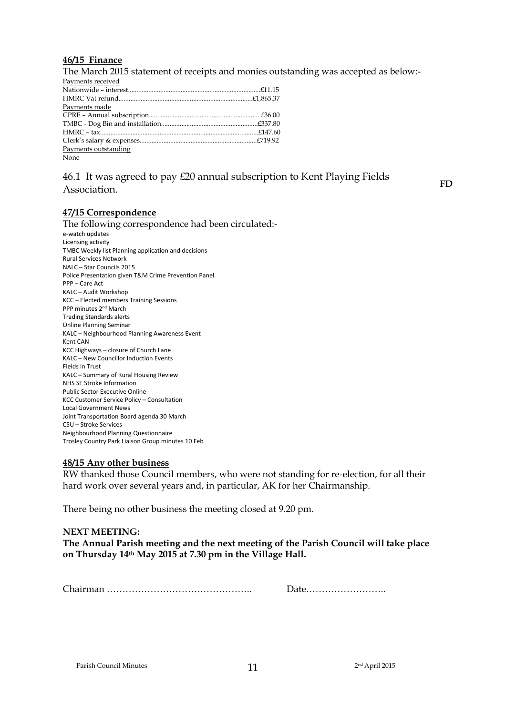# **46/15 Finance**

The March 2015 statement of receipts and monies outstanding was accepted as below:-

| Payments received    |  |
|----------------------|--|
|                      |  |
|                      |  |
| Payments made        |  |
|                      |  |
|                      |  |
|                      |  |
|                      |  |
| Payments outstanding |  |
| None                 |  |

# 46.1 It was agreed to pay £20 annual subscription to Kent Playing Fields Association.

**FD**

# **47/15 Correspondence**

The following correspondence had been circulated: e-watch updates Licensing activity TMBC Weekly list Planning application and decisions Rural Services Network NALC – Star Councils 2015 Police Presentation given T&M Crime Prevention Panel PPP – Care Act KALC – Audit Workshop KCC – Elected members Training Sessions PPP minutes 2nd March Trading Standards alerts Online Planning Seminar KALC – Neighbourhood Planning Awareness Event Kent CAN KCC Highways – closure of Church Lane KALC – New Councillor Induction Events Fields in Trust KALC – Summary of Rural Housing Review NHS SE Stroke Information Public Sector Executive Online KCC Customer Service Policy – Consultation Local Government News Joint Transportation Board agenda 30 March CSU – Stroke Services Neighbourhood Planning Questionnaire Trosley Country Park Liaison Group minutes 10 Feb

# **48/15 Any other business**

RW thanked those Council members, who were not standing for re-election, for all their hard work over several years and, in particular, AK for her Chairmanship.

There being no other business the meeting closed at 9.20 pm.

# **NEXT MEETING:**

**The Annual Parish meeting and the next meeting of the Parish Council will take place on Thursday 14th May 2015 at 7.30 pm in the Village Hall.** 

Chairman ……………………………………….. Date……………………..